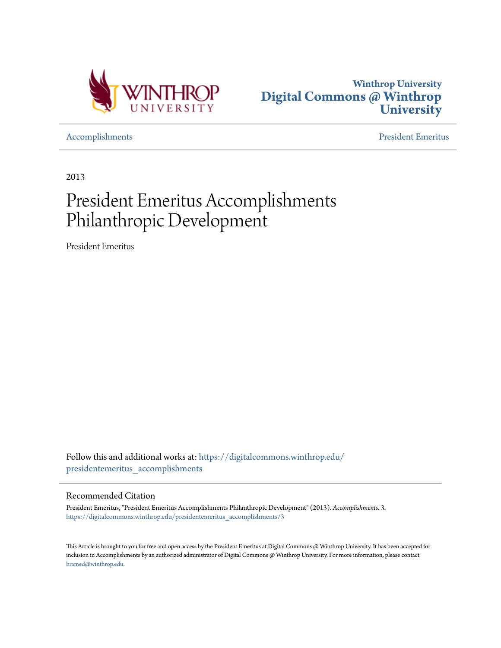



[Accomplishments](https://digitalcommons.winthrop.edu/presidentemeritus_accomplishments?utm_source=digitalcommons.winthrop.edu%2Fpresidentemeritus_accomplishments%2F3&utm_medium=PDF&utm_campaign=PDFCoverPages) [President Emeritus](https://digitalcommons.winthrop.edu/presidentemeritus?utm_source=digitalcommons.winthrop.edu%2Fpresidentemeritus_accomplishments%2F3&utm_medium=PDF&utm_campaign=PDFCoverPages)

2013

## President Emeritus Accomplishments Philanthropic Development

President Emeritus

Follow this and additional works at: [https://digitalcommons.winthrop.edu/](https://digitalcommons.winthrop.edu/presidentemeritus_accomplishments?utm_source=digitalcommons.winthrop.edu%2Fpresidentemeritus_accomplishments%2F3&utm_medium=PDF&utm_campaign=PDFCoverPages) [presidentemeritus\\_accomplishments](https://digitalcommons.winthrop.edu/presidentemeritus_accomplishments?utm_source=digitalcommons.winthrop.edu%2Fpresidentemeritus_accomplishments%2F3&utm_medium=PDF&utm_campaign=PDFCoverPages)

## Recommended Citation

President Emeritus, "President Emeritus Accomplishments Philanthropic Development" (2013). *Accomplishments*. 3. [https://digitalcommons.winthrop.edu/presidentemeritus\\_accomplishments/3](https://digitalcommons.winthrop.edu/presidentemeritus_accomplishments/3?utm_source=digitalcommons.winthrop.edu%2Fpresidentemeritus_accomplishments%2F3&utm_medium=PDF&utm_campaign=PDFCoverPages)

This Article is brought to you for free and open access by the President Emeritus at Digital Commons @ Winthrop University. It has been accepted for inclusion in Accomplishments by an authorized administrator of Digital Commons @ Winthrop University. For more information, please contact [bramed@winthrop.edu.](mailto:bramed@winthrop.edu)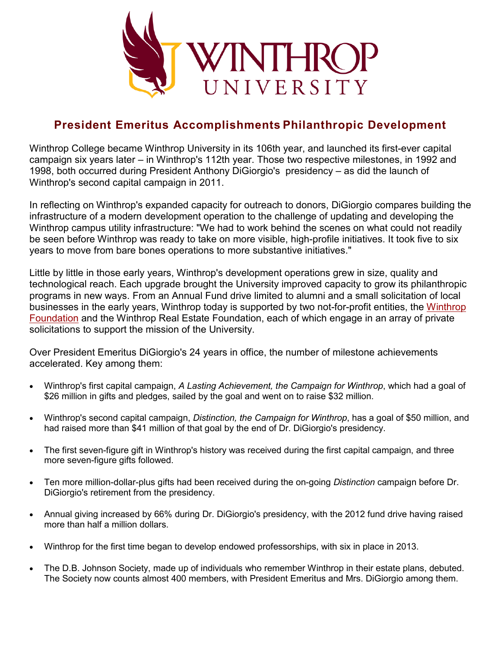

## **President Emeritus Accomplishments Philanthropic Development**

Winthrop College became Winthrop University in its 106th year, and launched its first-ever capital campaign six years later – in Winthrop's 112th year. Those two respective milestones, in 1992 and 1998, both occurred during President Anthony DiGiorgio's presidency – as did the launch of Winthrop's second capital campaign in 2011.

In reflecting on Winthrop's expanded capacity for outreach to donors, DiGiorgio compares building the infrastructure of a modern development operation to the challenge of updating and developing the Winthrop campus utility infrastructure: "We had to work behind the scenes on what could not readily be seen before Winthrop was ready to take on more visible, high-profile initiatives. It took five to six years to move from bare bones operations to more substantive initiatives."

Little by little in those early years, Winthrop's development operations grew in size, quality and technological reach. Each upgrade brought the University improved capacity to grow its philanthropic programs in new ways. From an Annual Fund drive limited to alumni and a small solicitation of local businesses in the early years, Winthrop today is supported by two not-for-profit entities, the [Winthrop](https://www.winthrop.edu/foundation)  [Foundation](https://www.winthrop.edu/foundation) and the Winthrop Real Estate Foundation, each of which engage in an array of private solicitations to support the mission of the University.

Over President Emeritus DiGiorgio's 24 years in office, the number of milestone achievements accelerated. Key among them:

- Winthrop's first capital campaign, *A Lasting Achievement, the Campaign for Winthrop*, which had a goal of \$26 million in gifts and pledges, sailed by the goal and went on to raise \$32 million.
- Winthrop's second capital campaign, *Distinction, the Campaign for Winthrop*, has a goal of \$50 million, and had raised more than \$41 million of that goal by the end of Dr. DiGiorgio's presidency.
- The first seven-figure gift in Winthrop's history was received during the first capital campaign, and three more seven-figure gifts followed.
- Ten more million-dollar-plus gifts had been received during the on-going *Distinction* campaign before Dr. DiGiorgio's retirement from the presidency.
- Annual giving increased by 66% during Dr. DiGiorgio's presidency, with the 2012 fund drive having raised more than half a million dollars.
- Winthrop for the first time began to develop endowed professorships, with six in place in 2013.
- The D.B. Johnson Society, made up of individuals who remember Winthrop in their estate plans, debuted. The Society now counts almost 400 members, with President Emeritus and Mrs. DiGiorgio among them.